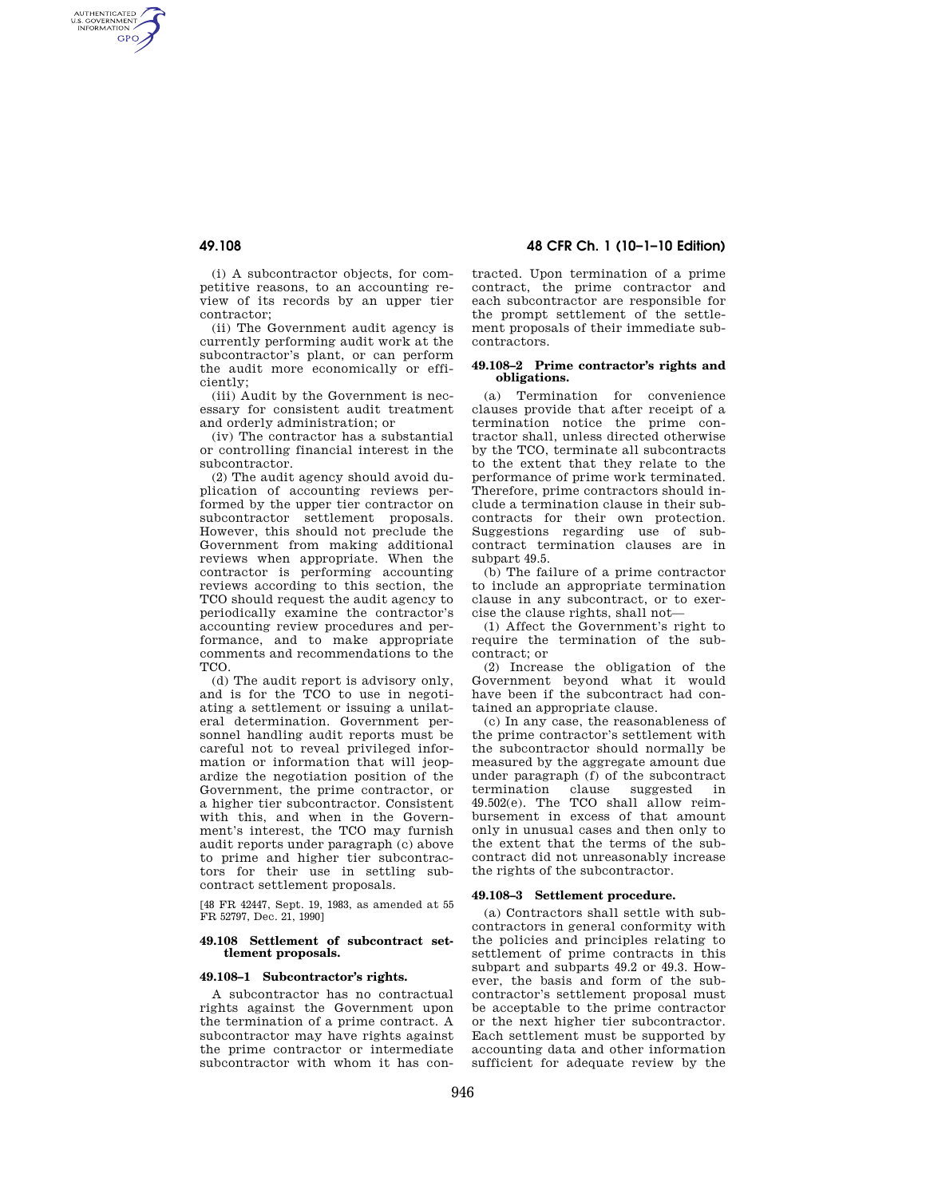AUTHENTICATED<br>U.S. GOVERNMENT<br>INFORMATION **GPO** 

> (i) A subcontractor objects, for competitive reasons, to an accounting review of its records by an upper tier contractor;

> (ii) The Government audit agency is currently performing audit work at the subcontractor's plant, or can perform the audit more economically or efficiently;

> (iii) Audit by the Government is necessary for consistent audit treatment and orderly administration; or

> (iv) The contractor has a substantial or controlling financial interest in the subcontractor.

(2) The audit agency should avoid duplication of accounting reviews performed by the upper tier contractor on subcontractor settlement proposals. However, this should not preclude the Government from making additional reviews when appropriate. When the contractor is performing accounting reviews according to this section, the TCO should request the audit agency to periodically examine the contractor's accounting review procedures and performance, and to make appropriate comments and recommendations to the TCO.

(d) The audit report is advisory only, and is for the TCO to use in negotiating a settlement or issuing a unilateral determination. Government personnel handling audit reports must be careful not to reveal privileged information or information that will jeopardize the negotiation position of the Government, the prime contractor, or a higher tier subcontractor. Consistent with this, and when in the Government's interest, the TCO may furnish audit reports under paragraph (c) above to prime and higher tier subcontractors for their use in settling subcontract settlement proposals.

[48 FR 42447, Sept. 19, 1983, as amended at 55 FR 52797, Dec. 21, 1990]

### **49.108 Settlement of subcontract settlement proposals.**

#### **49.108–1 Subcontractor's rights.**

A subcontractor has no contractual rights against the Government upon the termination of a prime contract. A subcontractor may have rights against the prime contractor or intermediate subcontractor with whom it has con-

# **49.108 48 CFR Ch. 1 (10–1–10 Edition)**

tracted. Upon termination of a prime contract, the prime contractor and each subcontractor are responsible for the prompt settlement of the settlement proposals of their immediate subcontractors.

## **49.108–2 Prime contractor's rights and obligations.**

(a) Termination for convenience clauses provide that after receipt of a termination notice the prime contractor shall, unless directed otherwise by the TCO, terminate all subcontracts to the extent that they relate to the performance of prime work terminated. Therefore, prime contractors should include a termination clause in their subcontracts for their own protection. Suggestions regarding use of subcontract termination clauses are in subpart 49.5.

(b) The failure of a prime contractor to include an appropriate termination clause in any subcontract, or to exercise the clause rights, shall not—

(1) Affect the Government's right to require the termination of the subcontract; or

(2) Increase the obligation of the Government beyond what it would have been if the subcontract had contained an appropriate clause.

(c) In any case, the reasonableness of the prime contractor's settlement with the subcontractor should normally be measured by the aggregate amount due under paragraph (f) of the subcontract<br>termination clause suggested in clause suggested in 49.502(e). The TCO shall allow reimbursement in excess of that amount only in unusual cases and then only to the extent that the terms of the subcontract did not unreasonably increase the rights of the subcontractor.

## **49.108–3 Settlement procedure.**

(a) Contractors shall settle with subcontractors in general conformity with the policies and principles relating to settlement of prime contracts in this subpart and subparts 49.2 or 49.3. However, the basis and form of the subcontractor's settlement proposal must be acceptable to the prime contractor or the next higher tier subcontractor. Each settlement must be supported by accounting data and other information sufficient for adequate review by the